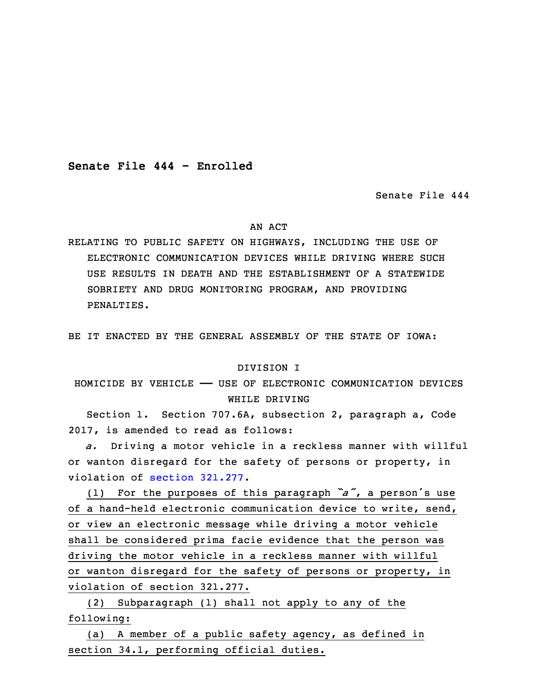**Senate File 444 - Enrolled**

Senate File 444

#### AN ACT

RELATING TO PUBLIC SAFETY ON HIGHWAYS, INCLUDING THE USE OF ELECTRONIC COMMUNICATION DEVICES WHILE DRIVING WHERE SUCH USE RESULTS IN DEATH AND THE ESTABLISHMENT OF A STATEWIDE SOBRIETY AND DRUG MONITORING PROGRAM, AND PROVIDING PENALTIES.

BE IT ENACTED BY THE GENERAL ASSEMBLY OF THE STATE OF IOWA:

### DIVISION I

# HOMICIDE BY VEHICLE —— USE OF ELECTRONIC COMMUNICATION DEVICES WHILE DRIVING

 Section 1. Section 707.6A, subsection 2, paragraph a, Code 2017, is amended to read as follows:

6 *a.* Driving <sup>a</sup> motor vehicle in <sup>a</sup> reckless manner with willful or wanton disregard for the safety of persons or property, in violation of section [321.277](https://www.legis.iowa.gov/docs/code/2017/321.277.pdf).

<sup>9</sup> (1) For the purposes of this paragraph *"a"*, <sup>a</sup> person's use of a hand-held electronic communication device to write, send, or view an electronic message while driving <sup>a</sup> motor vehicle shall be considered prima facie evidence that the person was driving the motor vehicle in a reckless manner with willful or wanton disregard for the safety of persons or property, in violation of section 321.277.

16 (2) Subparagraph (1) shall not apply to any of the following:

(a) A member of a public safety agency, as defined in section 34.1, performing official duties.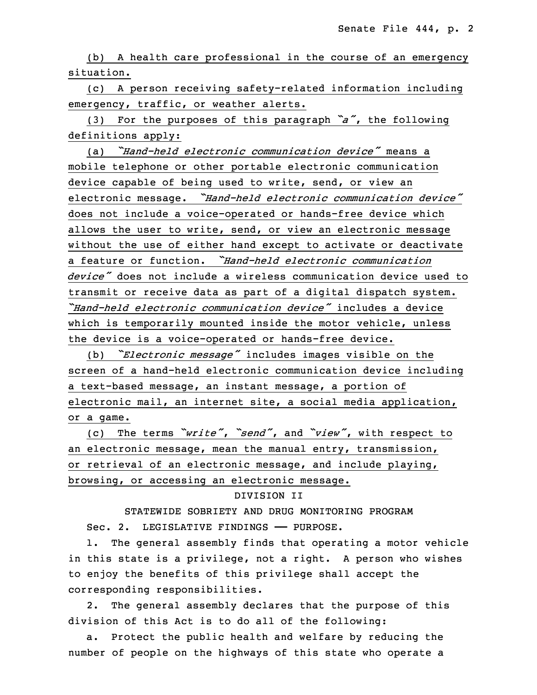(b) A health care professional in the course of an emergency situation.

 (c) <sup>A</sup> person receiving safety-related information including emergency, traffic, or weather alerts.

 (3) For the purposes of this paragraph *"a"*, the following definitions apply:

26 (a) *"Hand-held electronic communication device"* means <sup>a</sup> mobile telephone or other portable electronic communication device capable of being used to write, send, or view an <sup>29</sup> electronic message. *"Hand-held electronic communication device"* does not include a voice-operated or hands-free device which allows the user to write, send, or view an electronic message without the use of either hand except to activate or deactivate 33 <sup>a</sup> feature or function. *"Hand-held electronic communication* 34 *device"* does not include <sup>a</sup> wireless communication device used to transmit or receive data as part of a digital dispatch system. *"Hand-held electronic communication device"* includes <sup>a</sup> device which is temporarily mounted inside the motor vehicle, unless the device is a voice-operated or hands-free device.

 (b) *"Electronic message"* includes images visible on the 5 screen of <sup>a</sup> hand-held electronic communication device including a text-based message, an instant message, a portion of electronic mail, an internet site, a social media application, or a game.

<sup>9</sup> (c) The terms *"write"*, *"send"*, and *"view"*, with respect to an electronic message, mean the manual entry, transmission, or retrieval of an electronic message, and include playing, browsing, or accessing an electronic message.

#### 13 DIVISION II

 STATEWIDE SOBRIETY AND DRUG MONITORING PROGRAM Sec. 2. LEGISLATIVE FINDINGS - PURPOSE.

1. The general assembly finds that operating a motor vehicle in this state is a privilege, not a right. A person who wishes to enjoy the benefits of this privilege shall accept the corresponding responsibilities.

2. The general assembly declares that the purpose of this division of this Act is to do all of the following:

 a. Protect the public health and welfare by reducing the number of people on the highways of this state who operate a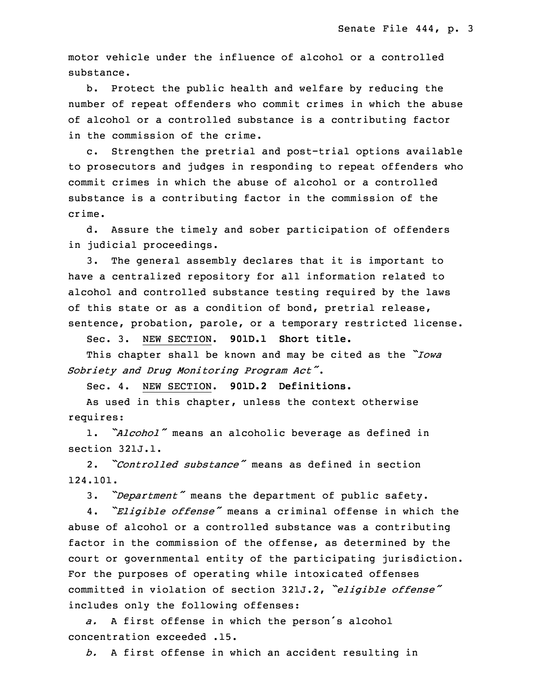motor vehicle under the influence of alcohol or <sup>a</sup> controlled substance.

b. Protect the public health and welfare by reducing the number of repeat offenders who commit crimes in which the abuse of alcohol or a controlled substance is a contributing factor in the commission of the crime.

c. Strengthen the pretrial and post-trial options available to prosecutors and judges in responding to repeat offenders who commit crimes in which the abuse of alcohol or a controlled substance is a contributing factor in the commission of the crime.

d. Assure the timely and sober participation of offenders in judicial proceedings.

 3. The general assembly declares that it is important to have a centralized repository for all information related to alcohol and controlled substance testing required by the laws of this state or as a condition of bond, pretrial release, sentence, probation, parole, or a temporary restricted license.

7 Sec. 3. NEW SECTION. **901D.1 Short title.**

<sup>8</sup> This chapter shall be known and may be cited as the *"Iowa* <sup>9</sup> *Sobriety and Drug Monitoring Program Act"*.

10 Sec. 4. NEW SECTION. **901D.2 Definitions.**

 As used in this chapter, unless the context otherwise requires:

1. *"Alcohol"* means an alcoholic beverage as defined in section 321J.1.

15 2. *"Controlled substance"* means as defined in section 16 124.101.

<sup>17</sup> 3. *"Department"* means the department of public safety.

<sup>18</sup> 4. *"Eligible offense"* means <sup>a</sup> criminal offense in which the abuse of alcohol or a controlled substance was a contributing factor in the commission of the offense, as determined by the court or governmental entity of the participating jurisdiction. For the purposes of operating while intoxicated offenses <sup>23</sup> committed in violation of section 321J.2, *"eligible offense"* includes only the following offenses:

a. A first offense in which the person's alcohol concentration exceeded .15.

b. A first offense in which an accident resulting in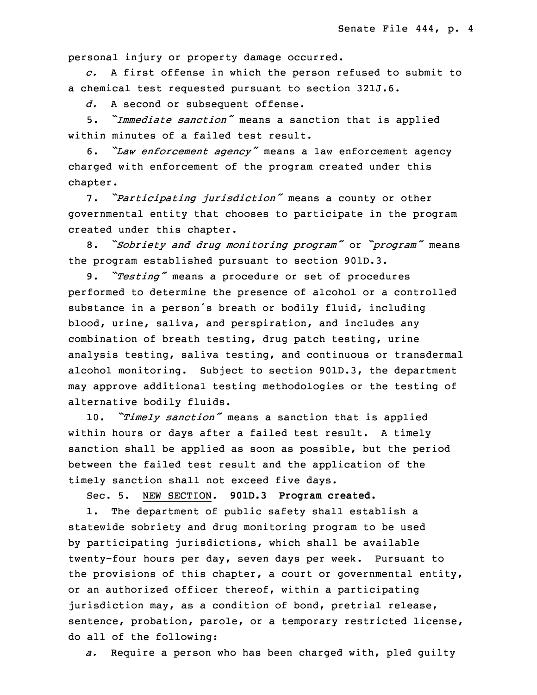personal injury or property damage occurred.

29 *c.* <sup>A</sup> first offense in which the person refused to submit to a chemical test requested pursuant to section 321J.6.

31 *d.* <sup>A</sup> second or subsequent offense.

<sup>32</sup> 5. *"Immediate sanction"* means <sup>a</sup> sanction that is applied within minutes of a failed test result.

<sup>34</sup> 6. *"Law enforcement agency"* means <sup>a</sup> law enforcement agency charged with enforcement of the program created under this chapter.

 7. *"Participating jurisdiction"* means <sup>a</sup> county or other governmental entity that chooses to participate in the program created under this chapter.

<sup>5</sup> 8. *"Sobriety and drug monitoring program"* or *"program"* means the program established pursuant to section 901D.3.

9. "Testing" means a procedure or set of procedures performed to determine the presence of alcohol or a controlled substance in a person's breath or bodily fluid, including blood, urine, saliva, and perspiration, and includes any combination of breath testing, drug patch testing, urine analysis testing, saliva testing, and continuous or transdermal alcohol monitoring. Subject to section 901D.3, the department may approve additional testing methodologies or the testing of alternative bodily fluids.

<sup>16</sup> 10. *"Timely sanction"* means <sup>a</sup> sanction that is applied within hours or days after a failed test result. A timely sanction shall be applied as soon as possible, but the period between the failed test result and the application of the timely sanction shall not exceed five days.

Sec. 5. NEW SECTION. **901D.3 Program created.**

 1. The department of public safety shall establish <sup>a</sup> statewide sobriety and drug monitoring program to be used by participating jurisdictions, which shall be available 25 twenty-four hours per day, seven days per week. Pursuant to the provisions of this chapter, a court or governmental entity, or an authorized officer thereof, within a participating jurisdiction may, as a condition of bond, pretrial release, sentence, probation, parole, or a temporary restricted license, do all of the following:

31 *a.* Require <sup>a</sup> person who has been charged with, pled guilty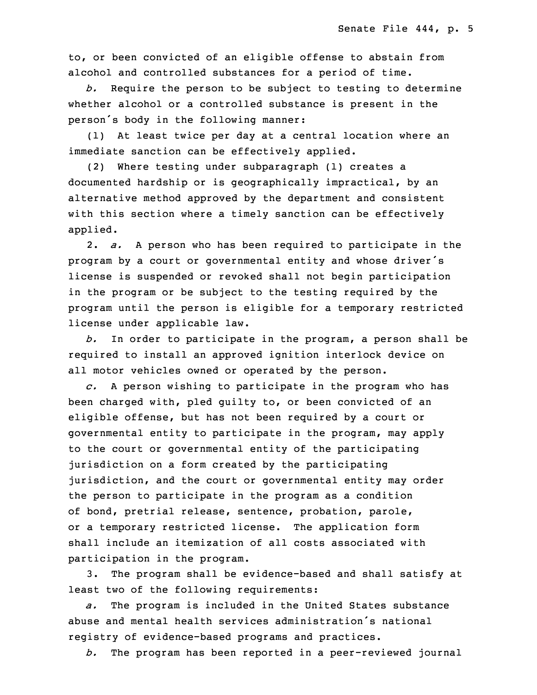to, or been convicted of an eligible offense to abstain from alcohol and controlled substances for a period of time.

34 *b.* Require the person to be subject to testing to determine whether alcohol or a controlled substance is present in the person's body in the following manner:

 (1) At least twice per day at <sup>a</sup> central location where an immediate sanction can be effectively applied.

 (2) Where testing under subparagraph (1) creates <sup>a</sup> documented hardship or is geographically impractical, by an alternative method approved by the department and consistent with this section where a timely sanction can be effectively applied.

9 2. *a.* <sup>A</sup> person who has been required to participate in the program by a court or governmental entity and whose driver's license is suspended or revoked shall not begin participation in the program or be subject to the testing required by the program until the person is eligible for a temporary restricted license under applicable law.

b. In order to participate in the program, a person shall be required to install an approved ignition interlock device on all motor vehicles owned or operated by the person.

c. A person wishing to participate in the program who has been charged with, pled quilty to, or been convicted of an eligible offense, but has not been required by a court or governmental entity to participate in the program, may apply to the court or governmental entity of the participating jurisdiction on a form created by the participating jurisdiction, and the court or governmental entity may order the person to participate in the program as a condition of bond, pretrial release, sentence, probation, parole, or a temporary restricted license. The application form shall include an itemization of all costs associated with participation in the program.

3. The program shall be evidence-based and shall satisfy at least two of the following requirements:

32 *a.* The program is included in the United States substance abuse and mental health services administration's national registry of evidence-based programs and practices.

35 *b.* The program has been reported in <sup>a</sup> peer-reviewed journal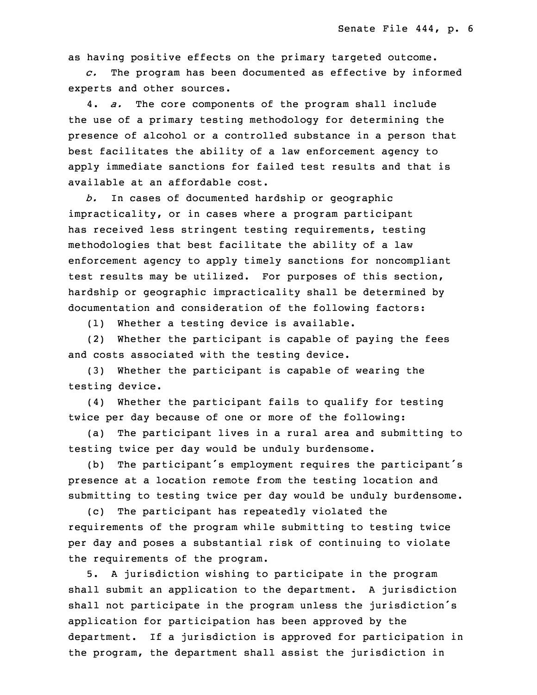as having positive effects on the primary targeted outcome.

 *c.* The program has been documented as effective by informed experts and other sources.

 4. *a.* The core components of the program shall include the use of a primary testing methodology for determining the presence of alcohol or a controlled substance in a person that best facilitates the ability of a law enforcement agency to apply immediate sanctions for failed test results and that is available at an affordable cost.

b. In cases of documented hardship or geographic impracticality, or in cases where <sup>a</sup> program participant has received less stringent testing requirements, testing methodologies that best facilitate the ability of a law enforcement agency to apply timely sanctions for noncompliant test results may be utilized. For purposes of this section, hardship or geographic impracticality shall be determined by documentation and consideration of the following factors:

(1) Whether a testing device is available.

(2) Whether the participant is capable of paying the fees and costs associated with the testing device.

 (3) Whether the participant is capable of wearing the testing device.

(4) Whether the participant fails to qualify for testing twice per day because of one or more of the following:

(a) The participant lives in a rural area and submitting to testing twice per day would be unduly burdensome.

(b) The participant's employment requires the participant's presence at a location remote from the testing location and submitting to testing twice per day would be unduly burdensome.

(c) The participant has repeatedly violated the requirements of the program while submitting to testing twice per day and poses a substantial risk of continuing to violate the requirements of the program.

5. A jurisdiction wishing to participate in the program shall submit an application to the department. A jurisdiction shall not participate in the program unless the jurisdiction's application for participation has been approved by the department. If a jurisdiction is approved for participation in the program, the department shall assist the jurisdiction in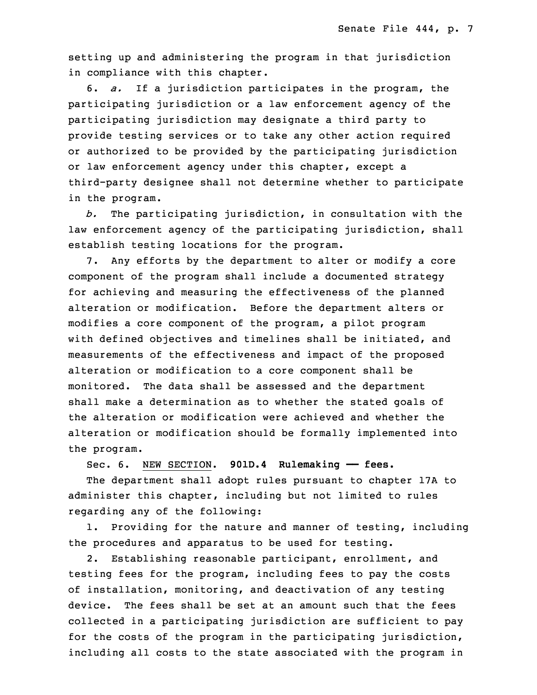setting up and administering the program in that jurisdiction in compliance with this chapter.

7 6. *a.* If <sup>a</sup> jurisdiction participates in the program, the participating jurisdiction or a law enforcement agency of the participating jurisdiction may designate a third party to provide testing services or to take any other action required or authorized to be provided by the participating jurisdiction or law enforcement agency under this chapter, except <sup>a</sup> third-party designee shall not determine whether to participate in the program.

b. The participating jurisdiction, in consultation with the law enforcement agency of the participating jurisdiction, shall establish testing locations for the program.

7. Any efforts by the department to alter or modify a core component of the program shall include a documented strategy for achieving and measuring the effectiveness of the planned alteration or modification. Before the department alters or modifies <sup>a</sup> core component of the program, <sup>a</sup> pilot program with defined objectives and timelines shall be initiated, and measurements of the effectiveness and impact of the proposed alteration or modification to a core component shall be monitored. The data shall be assessed and the department shall make a determination as to whether the stated goals of the alteration or modification were achieved and whether the alteration or modification should be formally implemented into the program.

31 Sec. 6. NEW SECTION. **901D.4 Rulemaking —— fees.**

The department shall adopt rules pursuant to chapter 17A to administer this chapter, including but not limited to rules regarding any of the following:

1. Providing for the nature and manner of testing, including the procedures and apparatus to be used for testing.

 2. Establishing reasonable participant, enrollment, and testing fees for the program, including fees to pay the costs of installation, monitoring, and deactivation of any testing device. The fees shall be set at an amount such that the fees collected in a participating jurisdiction are sufficient to pay for the costs of the program in the participating jurisdiction, including all costs to the state associated with the program in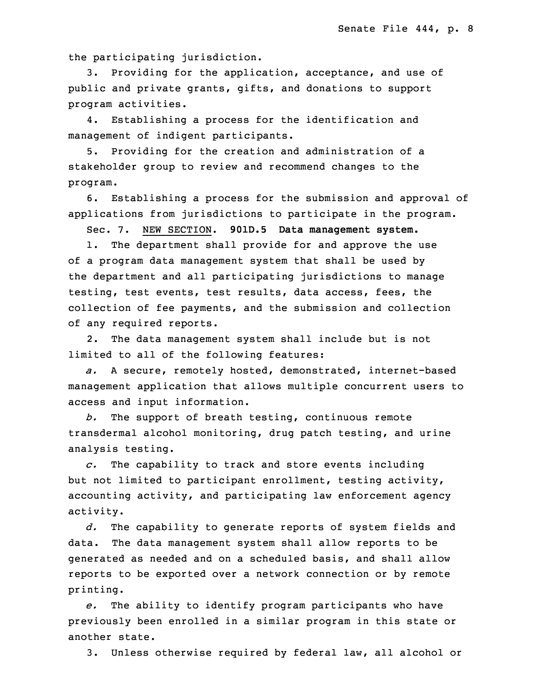the participating jurisdiction.

3. Providing for the application, acceptance, and use of public and private grants, gifts, and donations to support program activities.

4. Establishing a process for the identification and management of indigent participants.

5. Providing for the creation and administration of a stakeholder group to review and recommend changes to the program.

6. Establishing a process for the submission and approval of applications from jurisdictions to participate in the program.

20 Sec. 7. NEW SECTION. **901D.5 Data management system.**

 1. The department shall provide for and approve the use of <sup>a</sup> program data management system that shall be used by the department and all participating jurisdictions to manage testing, test events, test results, data access, fees, the collection of fee payments, and the submission and collection of any required reports.

2. The data management system shall include but is not limited to all of the following features:

a. A secure, remotely hosted, demonstrated, internet-based management application that allows multiple concurrent users to access and input information.

b. The support of breath testing, continuous remote transdermal alcohol monitoring, drug patch testing, and urine analysis testing.

35 *c.* The capability to track and store events including but not limited to participant enrollment, testing activity, accounting activity, and participating law enforcement agency activity.

 *d.* The capability to generate reports of system fields and data. The data management system shall allow reports to be 6 generated as needed and on <sup>a</sup> scheduled basis, and shall allow reports to be exported over a network connection or by remote printing.

9 *e.* The ability to identify program participants who have previously been enrolled in a similar program in this state or another state.

3. Unless otherwise required by federal law, all alcohol or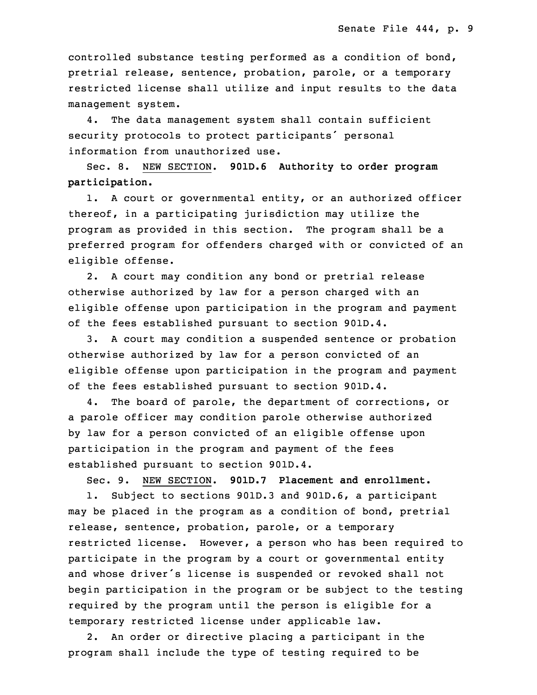controlled substance testing performed as a condition of bond, pretrial release, sentence, probation, parole, or <sup>a</sup> temporary restricted license shall utilize and input results to the data management system.

4. The data management system shall contain sufficient security protocols to protect participants' personal information from unauthorized use.

20 Sec. 8. NEW SECTION. **901D.6 Authority to order program participation.**

 1. <sup>A</sup> court or governmental entity, or an authorized officer thereof, in a participating jurisdiction may utilize the program as provided in this section. The program shall be <sup>a</sup> preferred program for offenders charged with or convicted of an eligible offense.

2. A court may condition any bond or pretrial release otherwise authorized by law for a person charged with an eligible offense upon participation in the program and payment of the fees established pursuant to section 901D.4.

3. A court may condition a suspended sentence or probation otherwise authorized by law for a person convicted of an eligible offense upon participation in the program and payment of the fees established pursuant to section 901D.4.

4. The board of parole, the department of corrections, or <sup>a</sup> parole officer may condition parole otherwise authorized by law for <sup>a</sup> person convicted of an eligible offense upon participation in the program and payment of the fees established pursuant to section 901D.4.

5 Sec. 9. NEW SECTION. **901D.7 Placement and enrollment.** 1. Subject to sections 901D.3 and 901D.6, a participant may be placed in the program as a condition of bond, pretrial release, sentence, probation, parole, or a temporary restricted license. However, a person who has been required to participate in the program by a court or governmental entity and whose driver's license is suspended or revoked shall not begin participation in the program or be subject to the testing required by the program until the person is eligible for a temporary restricted license under applicable law.

2. An order or directive placing a participant in the program shall include the type of testing required to be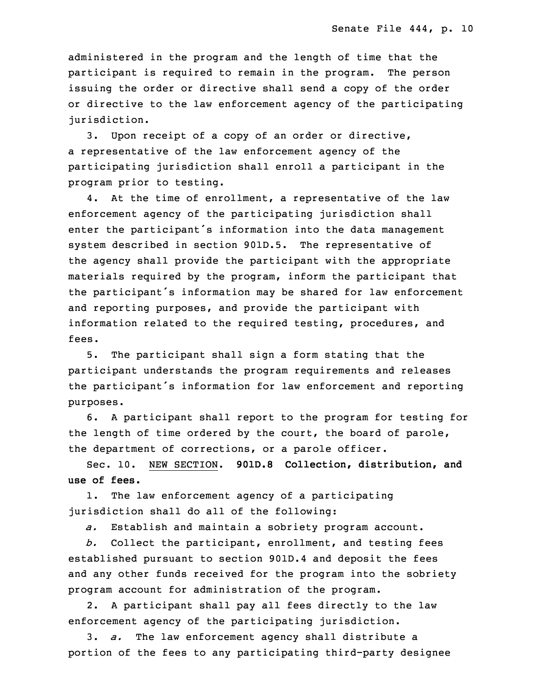administered in the program and the length of time that the participant is required to remain in the program. The person issuing the order or directive shall send a copy of the order or directive to the law enforcement agency of the participating jurisdiction.

 3. Upon receipt of <sup>a</sup> copy of an order or directive, a representative of the law enforcement agency of the participating jurisdiction shall enroll <sup>a</sup> participant in the program prior to testing.

4. At the time of enrollment, a representative of the law enforcement agency of the participating jurisdiction shall enter the participant's information into the data management system described in section 901D.5. The representative of the agency shall provide the participant with the appropriate materials required by the program, inform the participant that the participant's information may be shared for law enforcement and reporting purposes, and provide the participant with information related to the required testing, procedures, and fees.

 5. The participant shall sign <sup>a</sup> form stating that the participant understands the program requirements and releases the participant's information for law enforcement and reporting purposes.

5 6. <sup>A</sup> participant shall report to the program for testing for the length of time ordered by the court, the board of parole, the department of corrections, or a parole officer.

8 Sec. 10. NEW SECTION. **901D.8 Collection, distribution, and** 9 **use of fees.**

1. The law enforcement agency of a participating jurisdiction shall do all of the following:

*a.* Establish and maintain <sup>a</sup> sobriety program account.

b. Collect the participant, enrollment, and testing fees established pursuant to section 901D.4 and deposit the fees and any other funds received for the program into the sobriety program account for administration of the program.

2. A participant shall pay all fees directly to the law enforcement agency of the participating jurisdiction.

19 3. *a.* The law enforcement agency shall distribute <sup>a</sup> portion of the fees to any participating third-party designee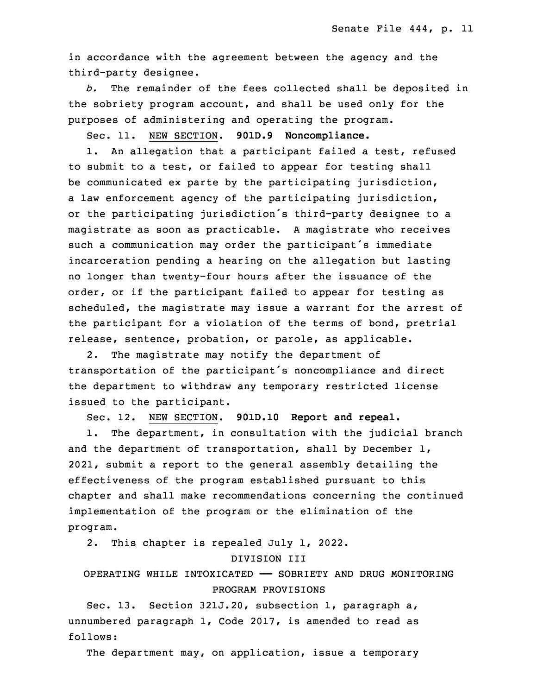in accordance with the agreement between the agency and the third-party designee.

23 *b.* The remainder of the fees collected shall be deposited in the sobriety program account, and shall be used only for the purposes of administering and operating the program.

26 Sec. 11. NEW SECTION. **901D.9 Noncompliance.**

1. An allegation that a participant failed a test, refused to submit to a test, or failed to appear for testing shall be communicated ex parte by the participating jurisdiction, a law enforcement agency of the participating jurisdiction, or the participating jurisdiction's third-party designee to a magistrate as soon as practicable. A magistrate who receives such a communication may order the participant's immediate incarceration pending a hearing on the allegation but lasting no longer than twenty-four hours after the issuance of the order, or if the participant failed to appear for testing as scheduled, the magistrate may issue <sup>a</sup> warrant for the arrest of the participant for a violation of the terms of bond, pretrial release, sentence, probation, or parole, as applicable.

2. The magistrate may notify the department of transportation of the participant's noncompliance and direct the department to withdraw any temporary restricted license issued to the participant.

9 Sec. 12. NEW SECTION. **901D.10 Report and repeal.**

1. The department, in consultation with the judicial branch and the department of transportation, shall by December 1, 2021, submit <sup>a</sup> report to the general assembly detailing the effectiveness of the program established pursuant to this chapter and shall make recommendations concerning the continued implementation of the program or the elimination of the program.

2. This chapter is repealed July 1, 2022.

#### 18 DIVISION III

## 19 OPERATING WHILE INTOXICATED —— SOBRIETY AND DRUG MONITORING PROGRAM PROVISIONS

 Sec. 13. Section 321J.20, subsection 1, paragraph a, unnumbered paragraph 1, Code 2017, is amended to read as follows:

The department may, on application, issue a temporary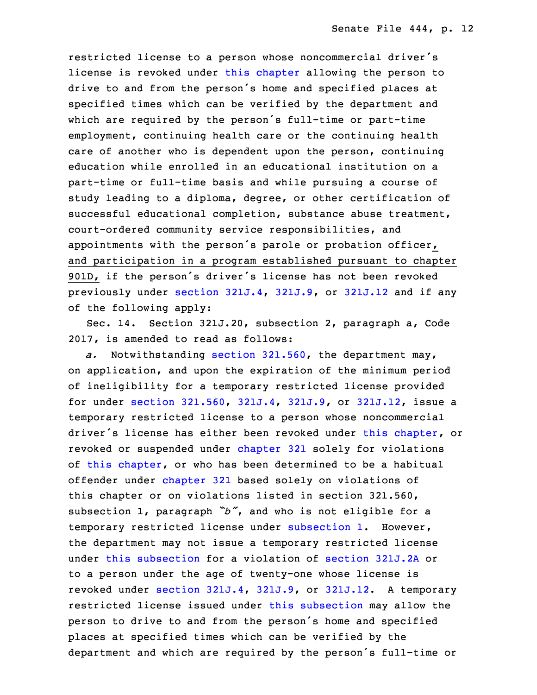restricted license to a person whose noncommercial driver's license is revoked under this [chapter](https://www.legis.iowa.gov/docs/code/2017/321J.pdf) allowing the person to drive to and from the person's home and specified places at specified times which can be verified by the department and which are required by the person's full-time or part-time employment, continuing health care or the continuing health care of another who is dependent upon the person, continuing education while enrolled in an educational institution on a part-time or full-time basis and while pursuing a course of study leading to a diploma, degree, or other certification of successful educational completion, substance abuse treatment, court-ordered community service responsibilities, and appointments with the person's parole or probation officer, and participation in a program established pursuant to chapter 901D, if the person's driver's license has not been revoked 5 previously under section [321J.4](https://www.legis.iowa.gov/docs/code/2017/321J.4.pdf), [321J.9](https://www.legis.iowa.gov/docs/code/2017/321J.9.pdf), or [321J.12](https://www.legis.iowa.gov/docs/code/2017/321J.12.pdf) and if any of the following apply:

Sec. 14. Section 321J.20, subsection 2, paragraph a, Code 2017, is amended to read as follows:

a. Notwithstanding section [321.560](https://www.legis.iowa.gov/docs/code/2017/321.560.pdf), the department may, on application, and upon the expiration of the minimum period of ineligibility for <sup>a</sup> temporary restricted license provided for under section [321.560](https://www.legis.iowa.gov/docs/code/2017/321.560.pdf), [321J.4](https://www.legis.iowa.gov/docs/code/2017/321J.4.pdf), [321J.9](https://www.legis.iowa.gov/docs/code/2017/321J.9.pdf), or [321J.12](https://www.legis.iowa.gov/docs/code/2017/321J.12.pdf), issue <sup>a</sup> temporary restricted license to a person whose noncommercial driver's license has either been revoked under this [chapter](https://www.legis.iowa.gov/docs/code/2017/321J.pdf), or revoked or suspended under [chapter](https://www.legis.iowa.gov/docs/code/2017/321.pdf) 321 solely for violations of this [chapter](https://www.legis.iowa.gov/docs/code/2017/321J.pdf), or who has been determined to be a habitual offender under [chapter](https://www.legis.iowa.gov/docs/code/2017/321.pdf) 321 based solely on violations of this chapter or on violations listed in section 321.560, subsection 1, paragraph "b", and who is not eligible for a temporary restricted license under [subsection](https://www.legis.iowa.gov/docs/code/2017/321J.20.pdf) 1. However, the department may not issue <sup>a</sup> temporary restricted license under this [subsection](https://www.legis.iowa.gov/docs/code/2017/321J.20.pdf) for <sup>a</sup> violation of [section](https://www.legis.iowa.gov/docs/code/2017/321J.2A.pdf) 321J.2A or to a person under the age of twenty-one whose license is revoked under section [321J.4](https://www.legis.iowa.gov/docs/code/2017/321J.4.pdf), [321J.9](https://www.legis.iowa.gov/docs/code/2017/321J.9.pdf), or [321J.12](https://www.legis.iowa.gov/docs/code/2017/321J.12.pdf). <sup>A</sup> temporary restricted license issued under this [subsection](https://www.legis.iowa.gov/docs/code/2017/321J.20.pdf) may allow the person to drive to and from the person's home and specified places at specified times which can be verified by the department and which are required by the person's full-time or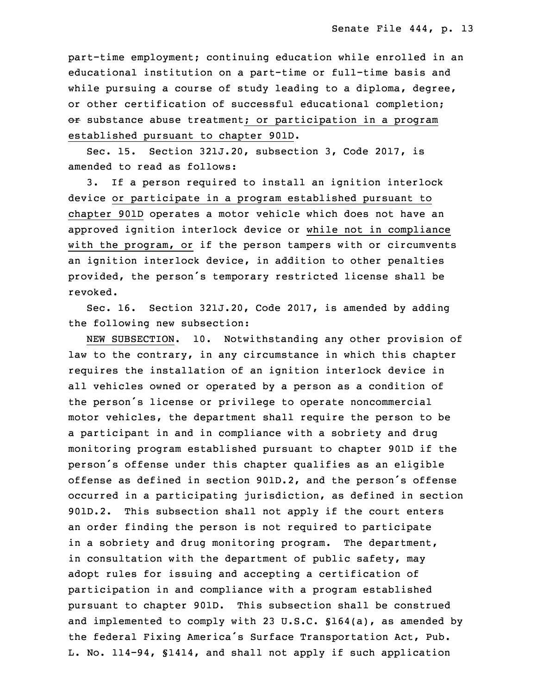part-time employment; continuing education while enrolled in an educational institution on a part-time or full-time basis and while pursuing a course of study leading to a diploma, degree, or other certification of successful educational completion;  $\sigma$  substance abuse treatment; or participation in a program established pursuant to chapter 901D.

Sec. 15. Section 321J.20, subsection 3, Code 2017, is amended to read as follows:

 3. If <sup>a</sup> person required to install an ignition interlock device or participate in a program established pursuant to chapter 901D operates <sup>a</sup> motor vehicle which does not have an approved ignition interlock device or while not in compliance with the program, or if the person tampers with or circumvents an ignition interlock device, in addition to other penalties provided, the person's temporary restricted license shall be revoked.

Sec. 16. Section 321J.20, Code 2017, is amended by adding the following new subsection:

 NEW SUBSECTION. 10. Notwithstanding any other provision of law to the contrary, in any circumstance in which this chapter requires the installation of an ignition interlock device in all vehicles owned or operated by a person as a condition of the person's license or privilege to operate noncommercial motor vehicles, the department shall require the person to be a participant in and in compliance with a sobriety and drug monitoring program established pursuant to chapter 901D if the person's offense under this chapter qualifies as an eligible offense as defined in section 901D.2, and the person's offense occurred in <sup>a</sup> participating jurisdiction, as defined in section 901D.2. This subsection shall not apply if the court enters an order finding the person is not required to participate in a sobriety and drug monitoring program. The department, in consultation with the department of public safety, may adopt rules for issuing and accepting a certification of participation in and compliance with a program established pursuant to chapter 901D. This subsection shall be construed and implemented to comply with 23 U.S.C.  $$164(a)$ , as amended by the federal Fixing America's Surface Transportation Act, Pub. L. No. 114-94, §1414, and shall not apply if such application